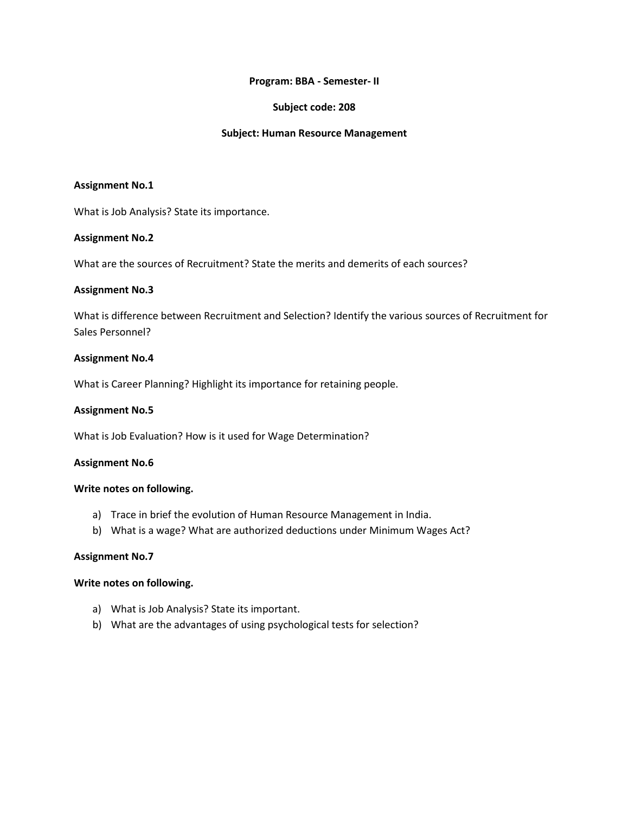### **Program: BBA - Semester- II**

## **Subject code: 208**

### **Subject: Human Resource Management**

### **Assignment No.1**

What is Job Analysis? State its importance.

### **Assignment No.2**

What are the sources of Recruitment? State the merits and demerits of each sources?

## **Assignment No.3**

What is difference between Recruitment and Selection? Identify the various sources of Recruitment for Sales Personnel?

## **Assignment No.4**

What is Career Planning? Highlight its importance for retaining people.

### **Assignment No.5**

What is Job Evaluation? How is it used for Wage Determination?

### **Assignment No.6**

### **Write notes on following.**

- a) Trace in brief the evolution of Human Resource Management in India.
- b) What is a wage? What are authorized deductions under Minimum Wages Act?

### **Assignment No.7**

### **Write notes on following.**

- a) What is Job Analysis? State its important.
- b) What are the advantages of using psychological tests for selection?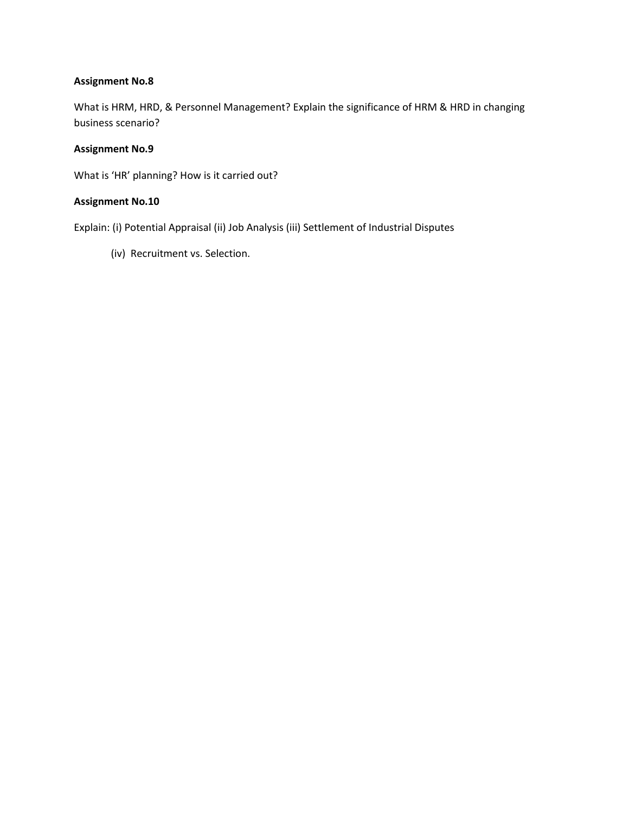What is HRM, HRD, & Personnel Management? Explain the significance of HRM & HRD in changing business scenario?

## **Assignment No.9**

What is 'HR' planning? How is it carried out?

## **Assignment No.10**

Explain: (i) Potential Appraisal (ii) Job Analysis (iii) Settlement of Industrial Disputes

(iv) Recruitment vs. Selection.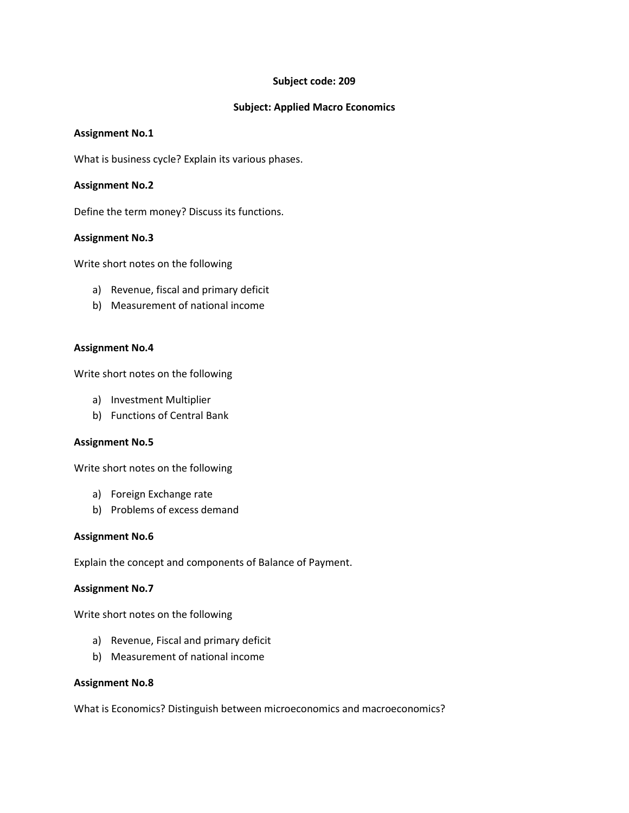## **Subject code: 209**

## **Subject: Applied Macro Economics**

### **Assignment No.1**

What is business cycle? Explain its various phases.

## **Assignment No.2**

Define the term money? Discuss its functions.

## **Assignment No.3**

Write short notes on the following

- a) Revenue, fiscal and primary deficit
- b) Measurement of national income

## **Assignment No.4**

Write short notes on the following

- a) Investment Multiplier
- b) Functions of Central Bank

### **Assignment No.5**

Write short notes on the following

- a) Foreign Exchange rate
- b) Problems of excess demand

### **Assignment No.6**

Explain the concept and components of Balance of Payment.

### **Assignment No.7**

Write short notes on the following

- a) Revenue, Fiscal and primary deficit
- b) Measurement of national income

### **Assignment No.8**

What is Economics? Distinguish between microeconomics and macroeconomics?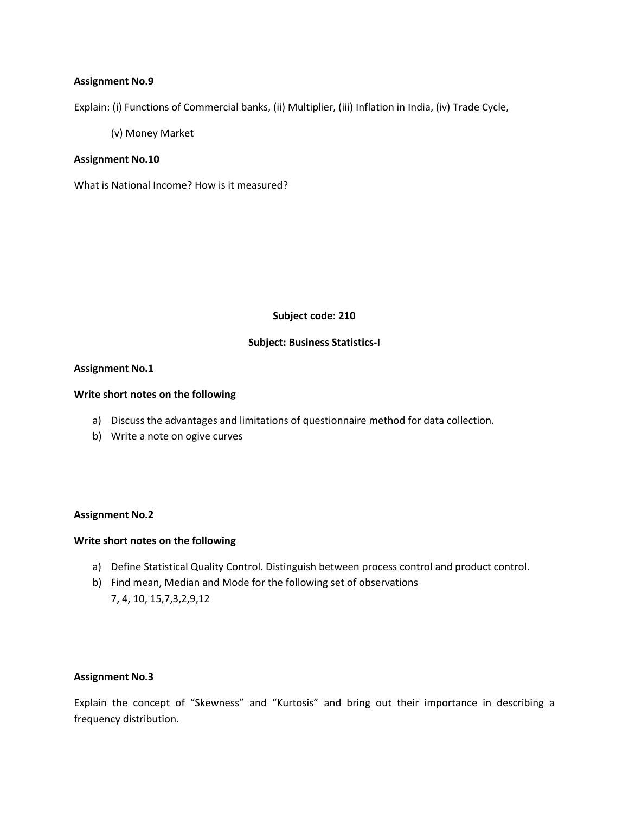Explain: (i) Functions of Commercial banks, (ii) Multiplier, (iii) Inflation in India, (iv) Trade Cycle,

(v) Money Market

### **Assignment No.10**

What is National Income? How is it measured?

**Subject code: 210**

#### **Subject: Business Statistics-I**

#### **Assignment No.1**

#### **Write short notes on the following**

- a) Discuss the advantages and limitations of questionnaire method for data collection.
- b) Write a note on ogive curves

### **Assignment No.2**

#### **Write short notes on the following**

- a) Define Statistical Quality Control. Distinguish between process control and product control.
- b) Find mean, Median and Mode for the following set of observations 7, 4, 10, 15,7,3,2,9,12

## **Assignment No.3**

Explain the concept of "Skewness" and "Kurtosis" and bring out their importance in describing a frequency distribution.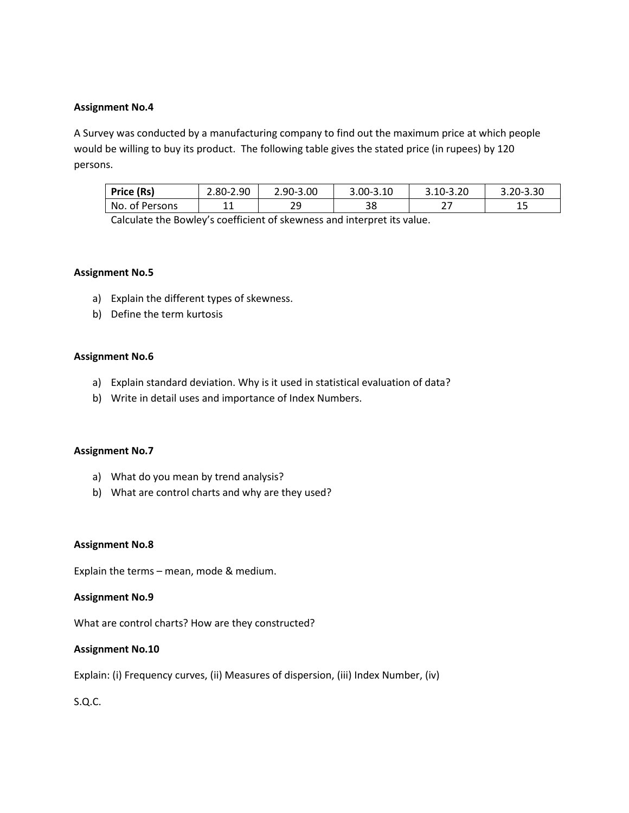A Survey was conducted by a manufacturing company to find out the maximum price at which people would be willing to buy its product. The following table gives the stated price (in rupees) by 120 persons.

| Price (Rs)     | 2.80-2.90 | 2.90-3.00 | $3.00 - 3.10$ | $3.10 - 3.20$ | 3.20-3.30 |
|----------------|-----------|-----------|---------------|---------------|-----------|
| No. of Persons | 44<br>ᆠᆠ  | ۔ ے       | 38            |               | ᅩᅩ        |

Calculate the Bowley's coefficient of skewness and interpret its value.

## **Assignment No.5**

- a) Explain the different types of skewness.
- b) Define the term kurtosis

## **Assignment No.6**

- a) Explain standard deviation. Why is it used in statistical evaluation of data?
- b) Write in detail uses and importance of Index Numbers.

### **Assignment No.7**

- a) What do you mean by trend analysis?
- b) What are control charts and why are they used?

### **Assignment No.8**

Explain the terms – mean, mode & medium.

### **Assignment No.9**

What are control charts? How are they constructed?

## **Assignment No.10**

Explain: (i) Frequency curves, (ii) Measures of dispersion, (iii) Index Number, (iv)

S.Q.C.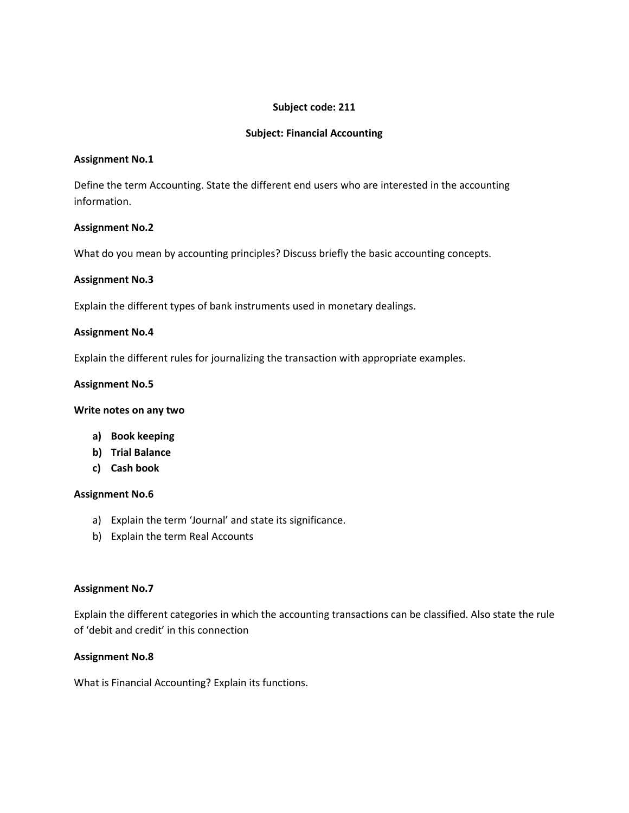# **Subject code: 211**

## **Subject: Financial Accounting**

### **Assignment No.1**

Define the term Accounting. State the different end users who are interested in the accounting information.

## **Assignment No.2**

What do you mean by accounting principles? Discuss briefly the basic accounting concepts.

## **Assignment No.3**

Explain the different types of bank instruments used in monetary dealings.

## **Assignment No.4**

Explain the different rules for journalizing the transaction with appropriate examples.

## **Assignment No.5**

### **Write notes on any two**

- **a) Book keeping**
- **b) Trial Balance**
- **c) Cash book**

### **Assignment No.6**

- a) Explain the term 'Journal' and state its significance.
- b) Explain the term Real Accounts

### **Assignment No.7**

Explain the different categories in which the accounting transactions can be classified. Also state the rule of 'debit and credit' in this connection

## **Assignment No.8**

What is Financial Accounting? Explain its functions.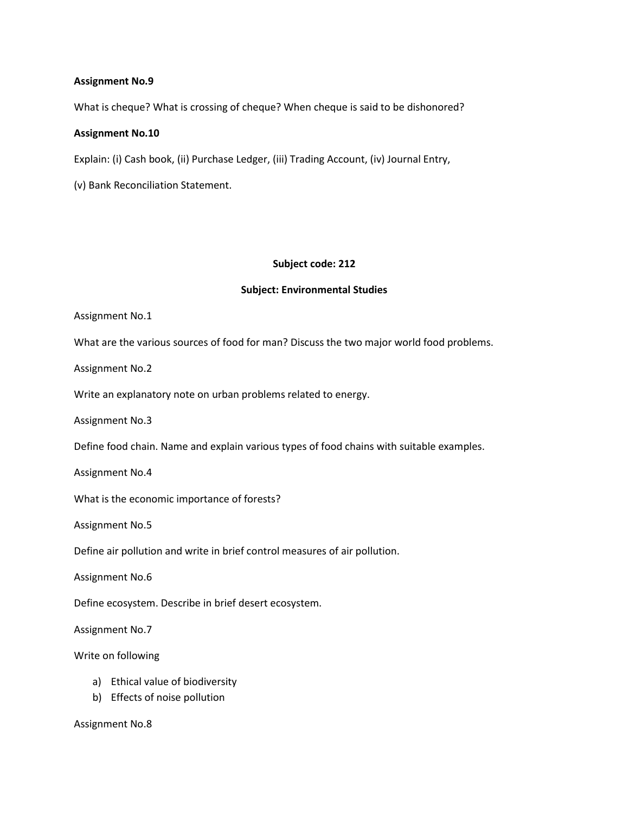What is cheque? What is crossing of cheque? When cheque is said to be dishonored?

### **Assignment No.10**

Explain: (i) Cash book, (ii) Purchase Ledger, (iii) Trading Account, (iv) Journal Entry,

(v) Bank Reconciliation Statement.

### **Subject code: 212**

### **Subject: Environmental Studies**

Assignment No.1

What are the various sources of food for man? Discuss the two major world food problems.

Assignment No.2

Write an explanatory note on urban problems related to energy.

Assignment No.3

Define food chain. Name and explain various types of food chains with suitable examples.

Assignment No.4

What is the economic importance of forests?

Assignment No.5

Define air pollution and write in brief control measures of air pollution.

Assignment No.6

Define ecosystem. Describe in brief desert ecosystem.

Assignment No.7

Write on following

- a) Ethical value of biodiversity
- b) Effects of noise pollution

Assignment No.8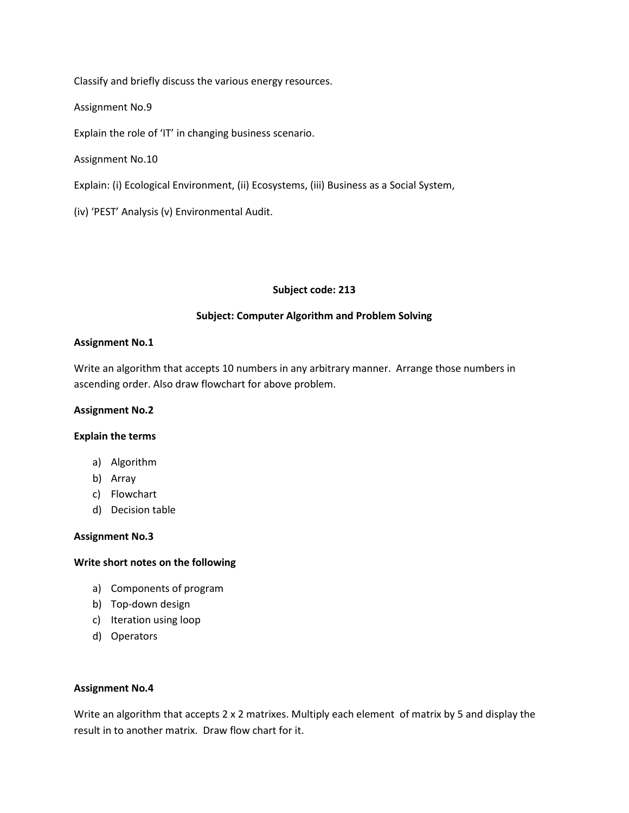Classify and briefly discuss the various energy resources.

Assignment No.9

Explain the role of 'IT' in changing business scenario.

Assignment No.10

Explain: (i) Ecological Environment, (ii) Ecosystems, (iii) Business as a Social System,

(iv) 'PEST' Analysis (v) Environmental Audit.

### **Subject code: 213**

## **Subject: Computer Algorithm and Problem Solving**

### **Assignment No.1**

Write an algorithm that accepts 10 numbers in any arbitrary manner. Arrange those numbers in ascending order. Also draw flowchart for above problem.

### **Assignment No.2**

### **Explain the terms**

- a) Algorithm
- b) Array
- c) Flowchart
- d) Decision table

### **Assignment No.3**

## **Write short notes on the following**

- a) Components of program
- b) Top-down design
- c) Iteration using loop
- d) Operators

### **Assignment No.4**

Write an algorithm that accepts 2 x 2 matrixes. Multiply each element of matrix by 5 and display the result in to another matrix. Draw flow chart for it.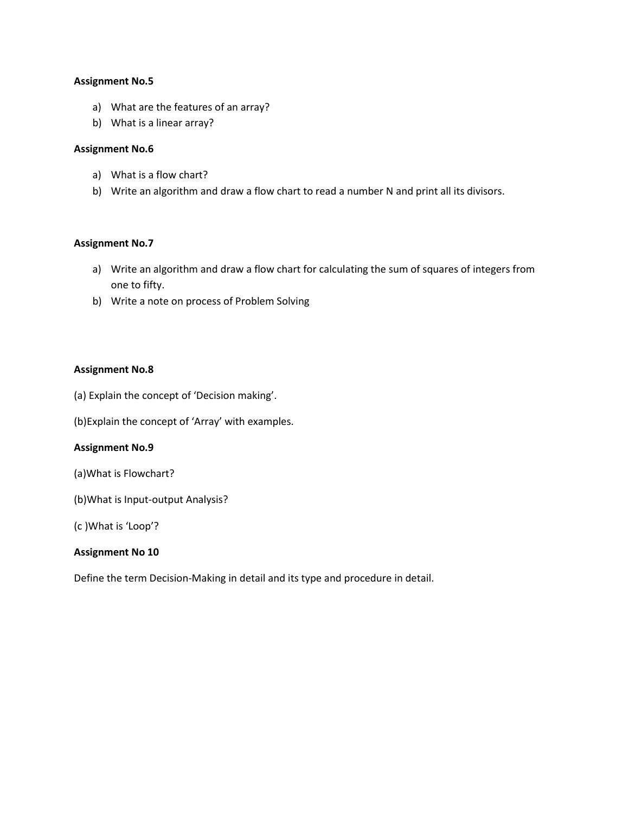- a) What are the features of an array?
- b) What is a linear array?

## **Assignment No.6**

- a) What is a flow chart?
- b) Write an algorithm and draw a flow chart to read a number N and print all its divisors.

## **Assignment No.7**

- a) Write an algorithm and draw a flow chart for calculating the sum of squares of integers from one to fifty.
- b) Write a note on process of Problem Solving

## **Assignment No.8**

(a) Explain the concept of 'Decision making'.

(b)Explain the concept of 'Array' with examples.

### **Assignment No.9**

- (a)What is Flowchart?
- (b)What is Input-output Analysis?
- (c )What is 'Loop'?

## **Assignment No 10**

Define the term Decision-Making in detail and its type and procedure in detail.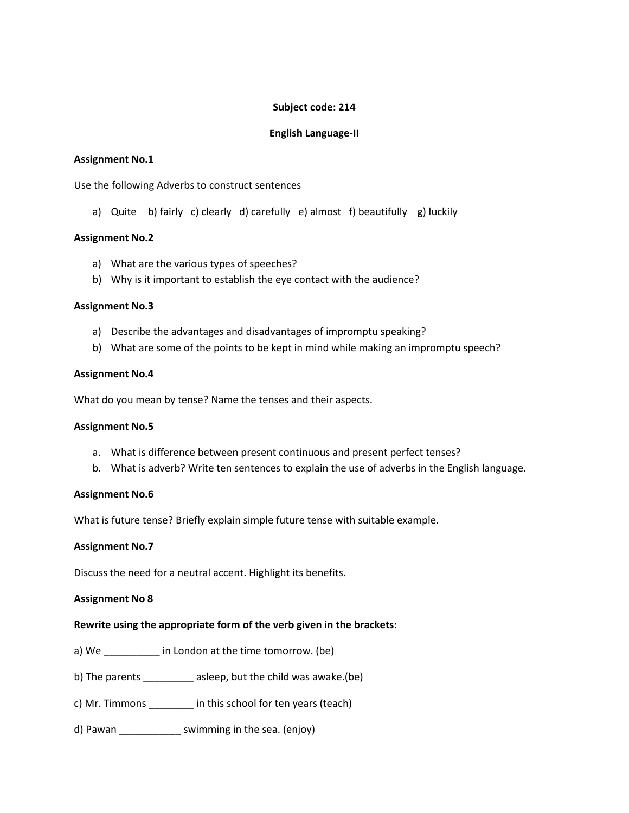# **Subject code: 214**

# **English Language-II**

## **Assignment No.1**

Use the following Adverbs to construct sentences

a) Quite b) fairly c) clearly d) carefully e) almost f) beautifully g) luckily

## **Assignment No.2**

- a) What are the various types of speeches?
- b) Why is it important to establish the eye contact with the audience?

### **Assignment No.3**

- a) Describe the advantages and disadvantages of impromptu speaking?
- b) What are some of the points to be kept in mind while making an impromptu speech?

### **Assignment No.4**

What do you mean by tense? Name the tenses and their aspects.

### **Assignment No.5**

- a. What is difference between present continuous and present perfect tenses?
- b. What is adverb? Write ten sentences to explain the use of adverbs in the English language.

### **Assignment No.6**

What is future tense? Briefly explain simple future tense with suitable example.

### **Assignment No.7**

Discuss the need for a neutral accent. Highlight its benefits.

### **Assignment No 8**

## **Rewrite using the appropriate form of the verb given in the brackets:**

- a) We \_\_\_\_\_\_\_\_\_\_\_\_ in London at the time tomorrow. (be)
- b) The parents \_\_\_\_\_\_\_\_\_ asleep, but the child was awake.(be)
- c) Mr. Timmons \_\_\_\_\_\_\_\_ in this school for ten years (teach)
- d) Pawan \_\_\_\_\_\_\_\_\_\_\_\_\_\_\_ swimming in the sea. (enjoy)